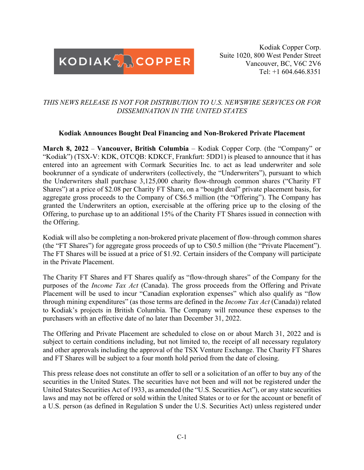

Kodiak Copper Corp. Suite 1020, 800 West Pender Street Vancouver, BC, V6C 2V6 Tel: +1 604.646.8351

# *THIS NEWS RELEASE IS NOT FOR DISTRIBUTION TO U.S. NEWSWIRE SERVICES OR FOR DISSEMINATION IN THE UNITED STATES*

## **Kodiak Announces Bought Deal Financing and Non-Brokered Private Placement**

**March 8, 2022** – **Vancouver, British Columbia** – Kodiak Copper Corp. (the "Company" or "Kodiak") (TSX-V: KDK, OTCQB: KDKCF, Frankfurt: 5DD1) is pleased to announce that it has entered into an agreement with Cormark Securities Inc. to act as lead underwriter and sole bookrunner of a syndicate of underwriters (collectively, the "Underwriters"), pursuant to which the Underwriters shall purchase 3,125,000 charity flow-through common shares ("Charity FT Shares") at a price of \$2.08 per Charity FT Share, on a "bought deal" private placement basis, for aggregate gross proceeds to the Company of C\$6.5 million (the "Offering"). The Company has granted the Underwriters an option, exercisable at the offering price up to the closing of the Offering, to purchase up to an additional 15% of the Charity FT Shares issued in connection with the Offering.

Kodiak will also be completing a non-brokered private placement of flow-through common shares (the "FT Shares") for aggregate gross proceeds of up to C\$0.5 million (the "Private Placement"). The FT Shares will be issued at a price of \$1.92. Certain insiders of the Company will participate in the Private Placement.

The Charity FT Shares and FT Shares qualify as "flow-through shares" of the Company for the purposes of the *Income Tax Act* (Canada). The gross proceeds from the Offering and Private Placement will be used to incur "Canadian exploration expenses" which also qualify as "flow through mining expenditures" (as those terms are defined in the *Income Tax Act* (Canada)) related to Kodiak's projects in British Columbia. The Company will renounce these expenses to the purchasers with an effective date of no later than December 31, 2022.

The Offering and Private Placement are scheduled to close on or about March 31, 2022 and is subject to certain conditions including, but not limited to, the receipt of all necessary regulatory and other approvals including the approval of the TSX Venture Exchange. The Charity FT Shares and FT Shares will be subject to a four month hold period from the date of closing.

This press release does not constitute an offer to sell or a solicitation of an offer to buy any of the securities in the United States. The securities have not been and will not be registered under the United States Securities Act of 1933, as amended (the "U.S. Securities Act"), or any state securities laws and may not be offered or sold within the United States or to or for the account or benefit of a U.S. person (as defined in Regulation S under the U.S. Securities Act) unless registered under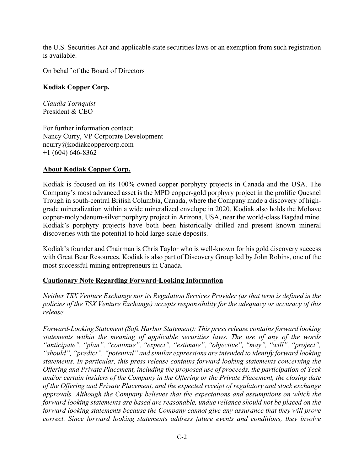the U.S. Securities Act and applicable state securities laws or an exemption from such registration is available.

On behalf of the Board of Directors

## **Kodiak Copper Corp.**

*Claudia Tornquist* President & CEO

For further information contact: Nancy Curry, VP Corporate Development ncurry@kodiakcoppercorp.com  $+1$  (604) 646-8362

## **About Kodiak Copper Corp.**

Kodiak is focused on its 100% owned copper porphyry projects in Canada and the USA. The Company's most advanced asset is the MPD copper-gold porphyry project in the prolific Quesnel Trough in south-central British Columbia, Canada, where the Company made a discovery of highgrade mineralization within a wide mineralized envelope in 2020. Kodiak also holds the Mohave copper-molybdenum-silver porphyry project in Arizona, USA, near the world-class Bagdad mine. Kodiak's porphyry projects have both been historically drilled and present known mineral discoveries with the potential to hold large-scale deposits.

Kodiak's founder and Chairman is Chris Taylor who is well-known for his gold discovery success with Great Bear Resources. Kodiak is also part of Discovery Group led by John Robins, one of the most successful mining entrepreneurs in Canada.

## **Cautionary Note Regarding Forward-Looking Information**

*Neither TSX Venture Exchange nor its Regulation Services Provider (as that term is defined in the policies of the TSX Venture Exchange) accepts responsibility for the adequacy or accuracy of this release.*

*Forward-Looking Statement (Safe Harbor Statement): This press release contains forward looking statements within the meaning of applicable securities laws. The use of any of the words "anticipate", "plan", "continue", "expect", "estimate", "objective", "may", "will", "project", "should", "predict", "potential" and similar expressions are intended to identify forward looking statements. In particular, this press release contains forward looking statements concerning the Offering and Private Placement, including the proposed use of proceeds, the participation of Teck and/or certain insiders of the Company in the Offering or the Private Placement, the closing date of the Offering and Private Placement, and the expected receipt of regulatory and stock exchange approvals. Although the Company believes that the expectations and assumptions on which the forward looking statements are based are reasonable, undue reliance should not be placed on the forward looking statements because the Company cannot give any assurance that they will prove correct. Since forward looking statements address future events and conditions, they involve*